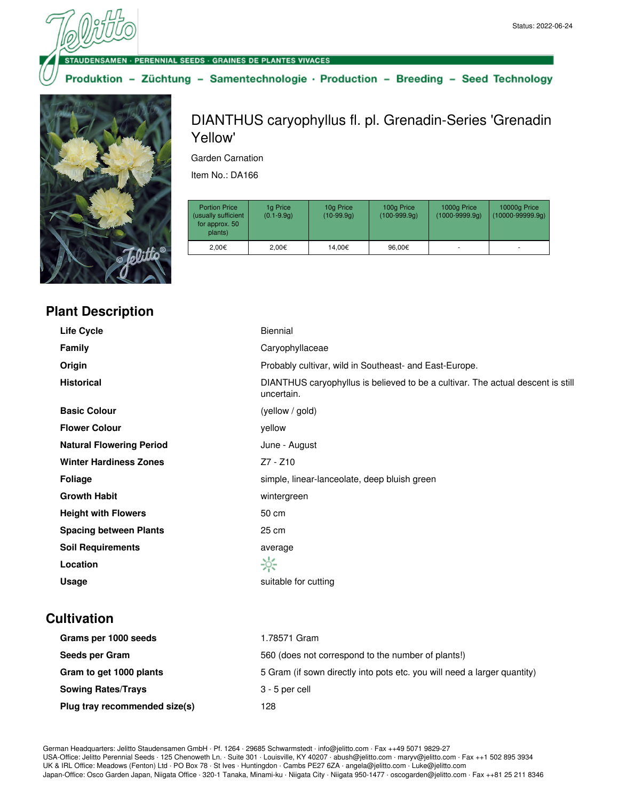· PERENNIAL SEEDS · GRAINES DE PLANTES VIVACES

Produktion - Züchtung - Samentechnologie · Production - Breeding - Seed Technology



## **Plant Description**

DIANTHUS caryophyllus fl. pl. Grenadin-Series 'Grenadin Yellow'

Garden Carnation

Item No.: DA166

| <b>Portion Price</b><br>(usually sufficient<br>for approx. 50<br>plants) | 1g Price<br>$(0.1 - 9.9q)$ | 10g Price<br>$(10-99.9q)$ | 100g Price<br>$(100-999.9q)$ | 1000g Price<br>$(1000 - 9999.9q)$ | 10000g Price<br>$(10000 - 99999.9q)$ |
|--------------------------------------------------------------------------|----------------------------|---------------------------|------------------------------|-----------------------------------|--------------------------------------|
| 2.00€                                                                    | 2,00€                      | 14.00€                    | 96.00€                       |                                   | ۰                                    |

| <b>Life Cycle</b>               | <b>Biennial</b>                                                                               |
|---------------------------------|-----------------------------------------------------------------------------------------------|
| <b>Family</b>                   | Caryophyllaceae                                                                               |
| Origin                          | Probably cultivar, wild in Southeast- and East-Europe.                                        |
| <b>Historical</b>               | DIANTHUS caryophyllus is believed to be a cultivar. The actual descent is still<br>uncertain. |
| <b>Basic Colour</b>             | (yellow / gold)                                                                               |
| <b>Flower Colour</b>            | yellow                                                                                        |
| <b>Natural Flowering Period</b> | June - August                                                                                 |
| <b>Winter Hardiness Zones</b>   | Z7 - Z10                                                                                      |
| Foliage                         | simple, linear-lanceolate, deep bluish green                                                  |
| <b>Growth Habit</b>             | wintergreen                                                                                   |
| <b>Height with Flowers</b>      | 50 cm                                                                                         |
| <b>Spacing between Plants</b>   | 25 cm                                                                                         |
| <b>Soil Requirements</b>        | average                                                                                       |
| Location                        | ☆                                                                                             |
| Usage                           | suitable for cutting                                                                          |

## **Cultivation**

| Grams per 1000 seeds          | 1.78571 Gram                                                             |
|-------------------------------|--------------------------------------------------------------------------|
| Seeds per Gram                | 560 (does not correspond to the number of plants!)                       |
| Gram to get 1000 plants       | 5 Gram (if sown directly into pots etc. you will need a larger quantity) |
| <b>Sowing Rates/Trays</b>     | 3 - 5 per cell                                                           |
| Plug tray recommended size(s) | 128                                                                      |